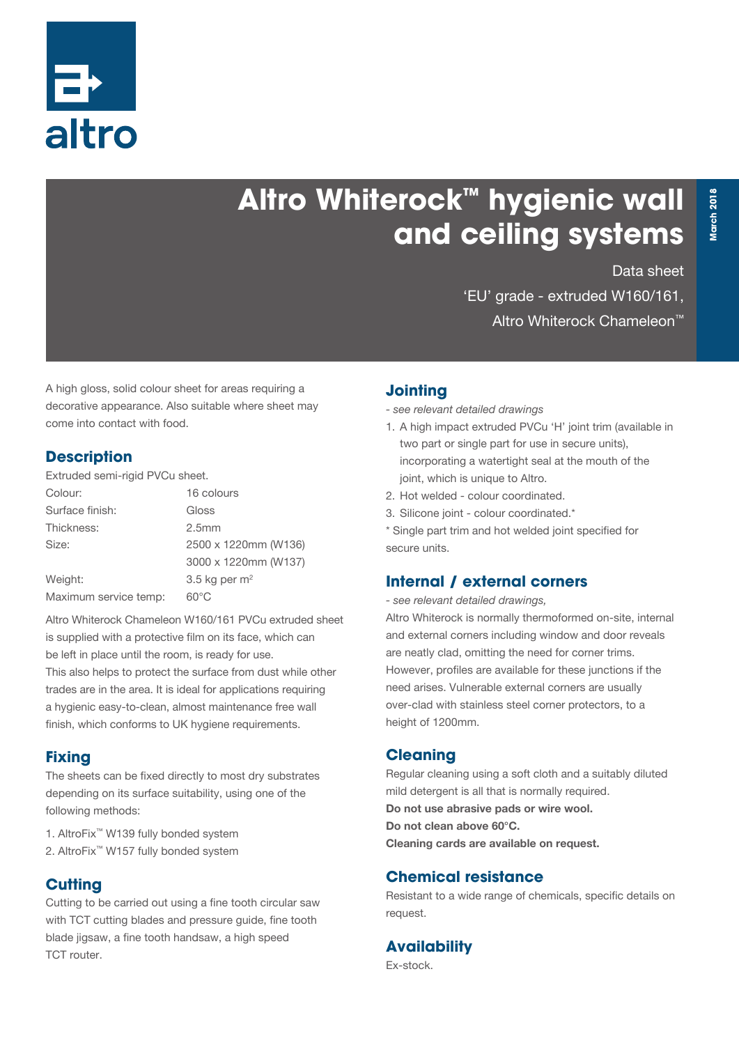

# **Altro Whiterock™ hygienic wall and ceiling systems**

Data sheet

'EU' grade - extruded W160/161, Altro Whiterock Chameleon™

A high gloss, solid colour sheet for areas requiring a decorative appearance. Also suitable where sheet may come into contact with food.

#### **Description**

Extruded semi-rigid PVCu sheet.

| Colour:               | 16 colours           |  |
|-----------------------|----------------------|--|
| Surface finish:       | Gloss                |  |
| Thickness:            | 2.5 <sub>mm</sub>    |  |
| Size:                 | 2500 x 1220mm (W136) |  |
|                       | 3000 x 1220mm (W137) |  |
| Weight:               | 3.5 kg per $m2$      |  |
| Maximum service temp: | $60^{\circ}$ C       |  |

Altro Whiterock Chameleon W160/161 PVCu extruded sheet is supplied with a protective film on its face, which can be left in place until the room, is ready for use. This also helps to protect the surface from dust while other trades are in the area. It is ideal for applications requiring a hygienic easy-to-clean, almost maintenance free wall finish, which conforms to UK hygiene requirements.

#### **Fixing**

The sheets can be fixed directly to most dry substrates depending on its surface suitability, using one of the following methods:

- 1. AltroFix™ W139 fully bonded system
- 2. AltroFix™ W157 fully bonded system

#### **Cutting**

Cutting to be carried out using a fine tooth circular saw with TCT cutting blades and pressure guide, fine tooth blade jigsaw, a fine tooth handsaw, a high speed TCT router.

#### **Jointing**

*- see relevant detailed drawings*

- 1. A high impact extruded PVCu 'H' joint trim (available in two part or single part for use in secure units), incorporating a watertight seal at the mouth of the joint, which is unique to Altro.
- 2. Hot welded colour coordinated.
- 3. Silicone joint colour coordinated.\*

\* Single part trim and hot welded joint specified for secure units.

#### **Internal / external corners**

*- see relevant detailed drawings,*

Altro Whiterock is normally thermoformed on-site, internal and external corners including window and door reveals are neatly clad, omitting the need for corner trims. However, profiles are available for these junctions if the need arises. Vulnerable external corners are usually over-clad with stainless steel corner protectors, to a height of 1200mm.

#### **Cleaning**

Regular cleaning using a soft cloth and a suitably diluted mild detergent is all that is normally required. Do not use abrasive pads or wire wool. Do not clean above 60°C. Cleaning cards are available on request.

#### **Chemical resistance**

Resistant to a wide range of chemicals, specific details on request.

#### **Availability**

Ex-stock.